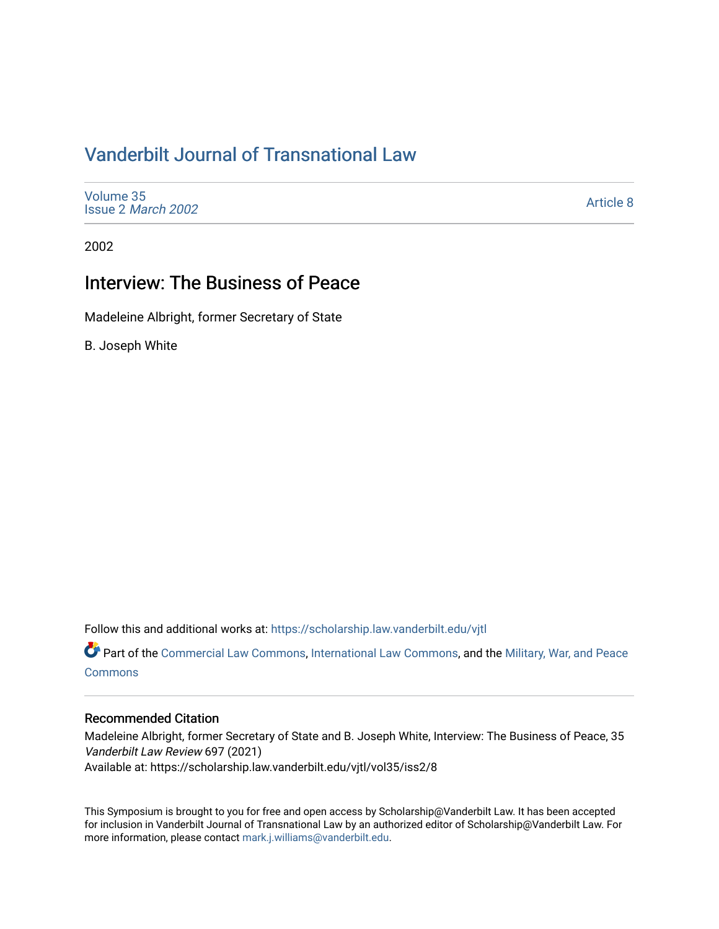## [Vanderbilt Journal of Transnational Law](https://scholarship.law.vanderbilt.edu/vjtl)

[Volume 35](https://scholarship.law.vanderbilt.edu/vjtl/vol35) Issue 2 [March 2002](https://scholarship.law.vanderbilt.edu/vjtl/vol35/iss2)

[Article 8](https://scholarship.law.vanderbilt.edu/vjtl/vol35/iss2/8) 

2002

## Interview: The Business of Peace

Madeleine Albright, former Secretary of State

B. Joseph White

Follow this and additional works at: [https://scholarship.law.vanderbilt.edu/vjtl](https://scholarship.law.vanderbilt.edu/vjtl?utm_source=scholarship.law.vanderbilt.edu%2Fvjtl%2Fvol35%2Fiss2%2F8&utm_medium=PDF&utm_campaign=PDFCoverPages) 

Part of the [Commercial Law Commons](http://network.bepress.com/hgg/discipline/586?utm_source=scholarship.law.vanderbilt.edu%2Fvjtl%2Fvol35%2Fiss2%2F8&utm_medium=PDF&utm_campaign=PDFCoverPages), [International Law Commons](http://network.bepress.com/hgg/discipline/609?utm_source=scholarship.law.vanderbilt.edu%2Fvjtl%2Fvol35%2Fiss2%2F8&utm_medium=PDF&utm_campaign=PDFCoverPages), and the [Military, War, and Peace](http://network.bepress.com/hgg/discipline/861?utm_source=scholarship.law.vanderbilt.edu%2Fvjtl%2Fvol35%2Fiss2%2F8&utm_medium=PDF&utm_campaign=PDFCoverPages) **[Commons](http://network.bepress.com/hgg/discipline/861?utm_source=scholarship.law.vanderbilt.edu%2Fvjtl%2Fvol35%2Fiss2%2F8&utm_medium=PDF&utm_campaign=PDFCoverPages)** 

## Recommended Citation

Madeleine Albright, former Secretary of State and B. Joseph White, Interview: The Business of Peace, 35 Vanderbilt Law Review 697 (2021) Available at: https://scholarship.law.vanderbilt.edu/vjtl/vol35/iss2/8

This Symposium is brought to you for free and open access by Scholarship@Vanderbilt Law. It has been accepted for inclusion in Vanderbilt Journal of Transnational Law by an authorized editor of Scholarship@Vanderbilt Law. For more information, please contact [mark.j.williams@vanderbilt.edu](mailto:mark.j.williams@vanderbilt.edu).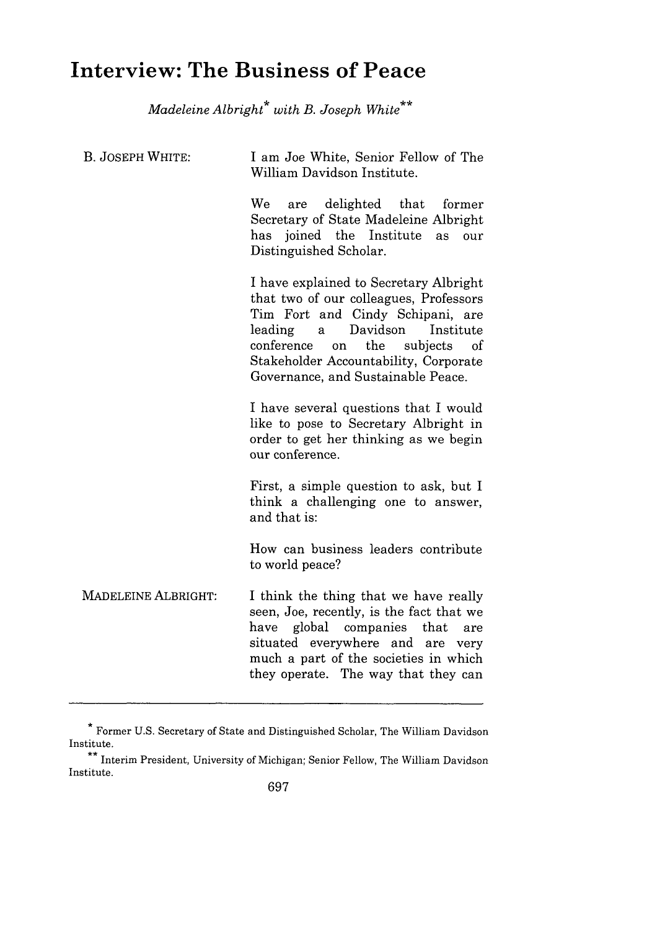## **Interview: The Business of Peace**

*Madeleine Albright\* with B. Joseph White\*\**

| <b>B. JOSEPH WHITE:</b>    | I am Joe White, Senior Fellow of The<br>William Davidson Institute.                                                                                                                                                                                                                       |  |
|----------------------------|-------------------------------------------------------------------------------------------------------------------------------------------------------------------------------------------------------------------------------------------------------------------------------------------|--|
|                            | We<br>are delighted<br>that<br>former<br>Secretary of State Madeleine Albright<br>has joined the Institute<br>as<br>our<br>Distinguished Scholar.                                                                                                                                         |  |
|                            | I have explained to Secretary Albright<br>that two of our colleagues, Professors<br>Tim Fort and Cindy Schipani, are<br>Davidson<br>leading<br>Institute<br>a<br>conference<br>the<br>subjects<br>оf<br>on<br>Stakeholder Accountability, Corporate<br>Governance, and Sustainable Peace. |  |
|                            | I have several questions that I would<br>like to pose to Secretary Albright in<br>order to get her thinking as we begin<br>our conference.                                                                                                                                                |  |
|                            | First, a simple question to ask, but I<br>think a challenging one to answer,<br>and that is:                                                                                                                                                                                              |  |
|                            | How can business leaders contribute<br>to world peace?                                                                                                                                                                                                                                    |  |
| <b>MADELEINE ALBRIGHT:</b> | I think the thing that we have really<br>seen, Joe, recently, is the fact that we<br>have global companies<br>that<br>are<br>situated everywhere and are<br>very<br>much a part of the societies in which<br>they operate. The way that they can                                          |  |

Former U.S. Secretary of State and Distinguished Scholar, The William Davidson Institute.

**<sup>\*\*</sup>** Interim President, University of Michigan; Senior Fellow, The William Davidson Institute.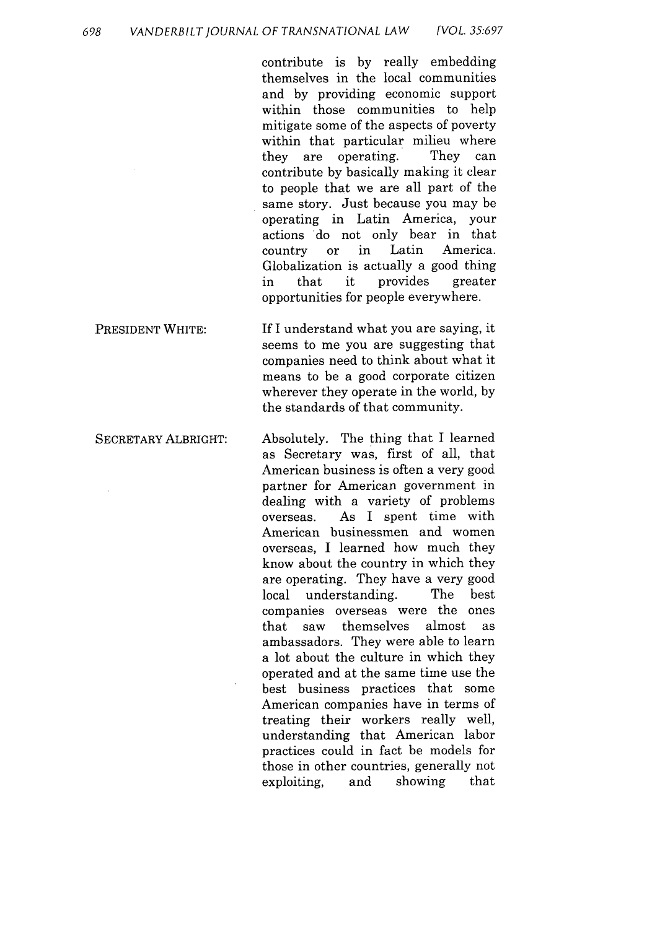contribute is by really embedding themselves in the local communities and by providing economic support within those communities to help mitigate some of the aspects of poverty within that particular milieu where they are operating. They can contribute by basically making it clear to people that we are all part of the same story. Just because you may be operating in Latin America, your actions do not only bear in that country or in Latin America. Globalization is actually a good thing in that it provides greater opportunities for people everywhere.

PRESIDENT WHITE: If I understand what you are saying, it seems to me you are suggesting that companies need to think about what it means to be a good corporate citizen wherever they operate in the world, by the standards of that community.

SECRETARY ALBRIGHT: Absolutely. The thing that I learned as Secretary was, first of all, that American business is often a very good partner for American government in dealing with a variety of problems overseas. As I spent time with American businessmen and women overseas, I learned how much they know about the country in which they are operating. They have a very good local understanding. The best companies overseas were the ones that saw themselves almost as ambassadors. They were able to learn a lot about the culture in which they operated and at the same time use the best business practices that some American companies have in terms of treating their workers really well, understanding that American labor practices could in fact be models for those in other countries, generally not exploiting, and showing that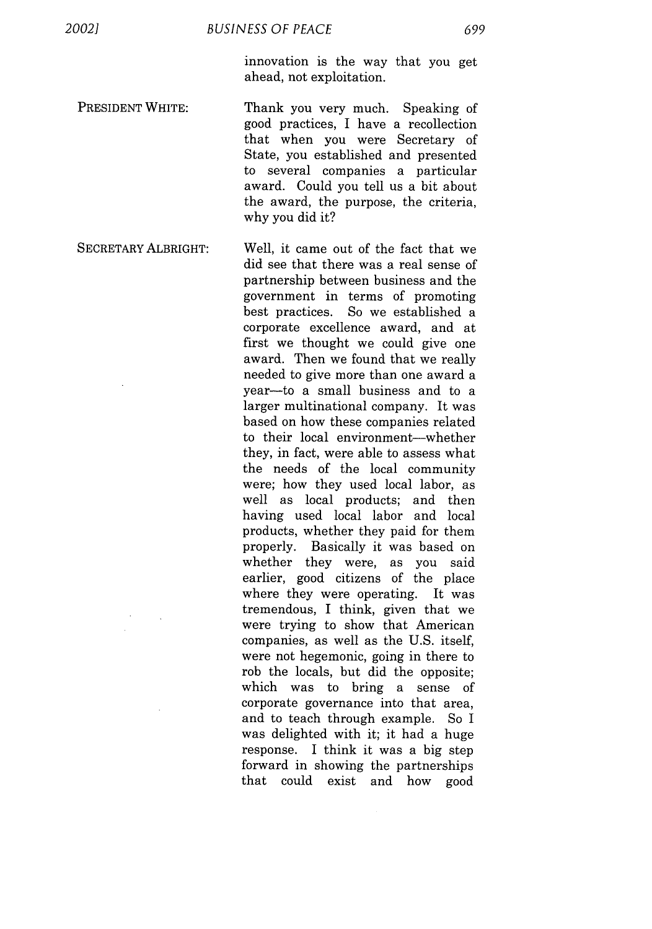innovation is the way that you get ahead, not exploitation.

PRESIDENT WHITE: Thank you very much. Speaking of good practices, I have a recollection that when you were Secretary of State, you established and presented to several companies a particular award. Could you tell us a bit about the award, the purpose, the criteria, why you did it?

SECRETARY ALBRIGHT: Well, it came out of the fact that we did see that there was a real sense of partnership between business and the government in terms of promoting best practices. So we established a corporate excellence award, and at first we thought we could give one award. Then we found that we really needed to give more than one award a year-to a small business and to a larger multinational company. It was based on how these companies related to their local environment-whether they, in fact, were able to assess what the needs of the local community were; how they used local labor, as well as local products; and then having used local labor and local products, whether they paid for them properly. Basically it was based on whether they were, as you said earlier, good citizens of the place where they were operating. It was tremendous, I think, given that we were trying to show that American companies, as well as the U.S. itself, were not hegemonic, going in there to rob the locals, but did the opposite; which was to bring a sense of corporate governance into that area, and to teach through example. So I was delighted with it; it had a huge response. I think it was a big step forward in showing the partnerships that could exist and how good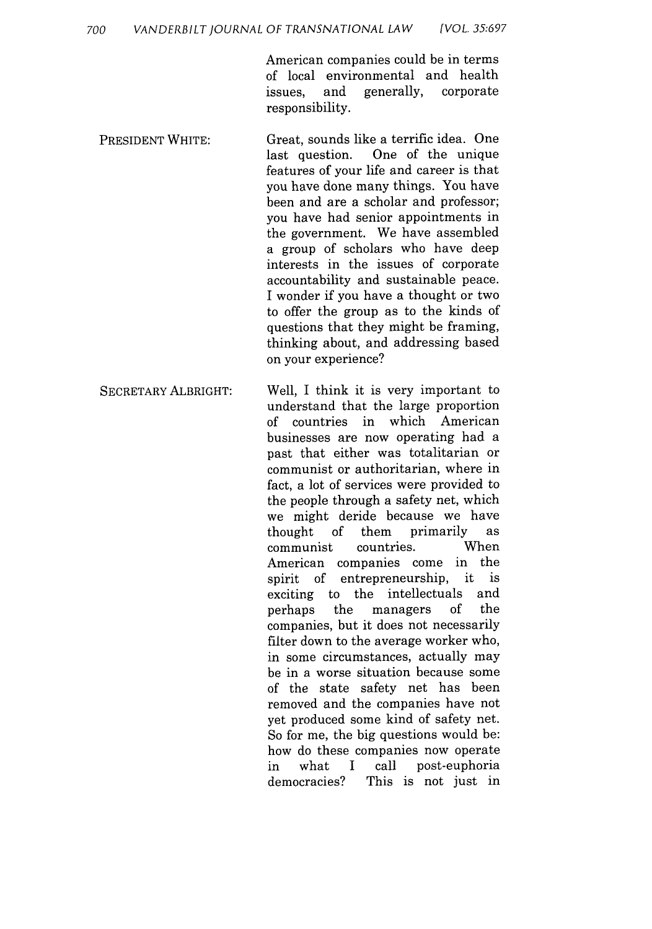American companies could be in terms of local environmental and health issues, and generally, corporate responsibility.

PRESIDENT WHITE: Great, sounds like a terrific idea. One last question. One of the unique features of your life and career is that you have done many things. You have been and are a scholar and professor; you have had senior appointments in the government. We have assembled a group of scholars who have deep interests in the issues of corporate accountability and sustainable peace. I wonder if you have a thought or two to offer the group as to the kinds of questions that they might be framing, thinking about, and addressing based on your experience?

SECRETARY ALBRIGHT: Well, I think it is very important to understand that the large proportion of countries in which American businesses are now operating had a past that either was totalitarian or communist or authoritarian, where in fact, a lot of services were provided to the people through a safety net, which we might deride because we have thought of them primarily as communist countries. When American companies come in the spirit of entrepreneurship, it is exciting to the intellectuals and perhaps the managers of the companies, but it does not necessarily filter down to the average worker who, in some circumstances, actually may be in a worse situation because some of the state safety net has been removed and the companies have not yet produced some kind of safety net. So for me, the big questions would be: how do these companies now operate in what I call post-euphoria democracies? This is not just in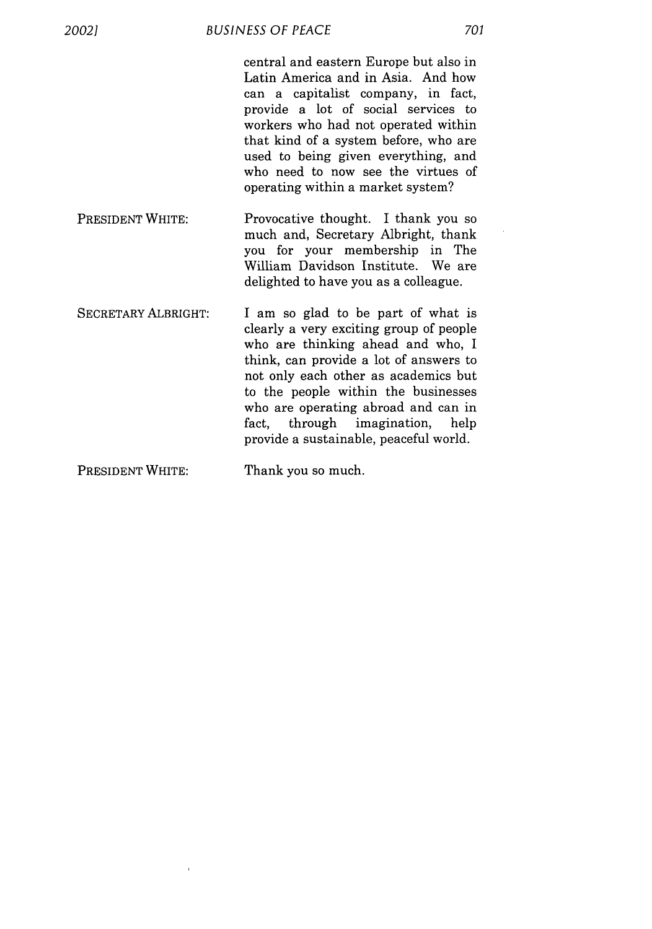| 20021               | BUSINESS OF PEACE                                                                                                                                                                                                                                                                                                                                               | 701 |
|---------------------|-----------------------------------------------------------------------------------------------------------------------------------------------------------------------------------------------------------------------------------------------------------------------------------------------------------------------------------------------------------------|-----|
|                     | central and eastern Europe but also in<br>Latin America and in Asia. And how<br>can a capitalist company, in fact,<br>provide a lot of social services to<br>workers who had not operated within<br>that kind of a system before, who are<br>used to being given everything, and<br>who need to now see the virtues of<br>operating within a market system?     |     |
| PRESIDENT WHITE:    | Provocative thought. I thank you so<br>much and, Secretary Albright, thank<br>you for your membership in The<br>William Davidson Institute. We are<br>delighted to have you as a colleague.                                                                                                                                                                     |     |
| SECRETARY ALBRIGHT: | I am so glad to be part of what is<br>clearly a very exciting group of people<br>who are thinking ahead and who, I<br>think, can provide a lot of answers to<br>not only each other as academics but<br>to the people within the businesses<br>who are operating abroad and can in<br>fact, through imagination, help<br>provide a sustainable, peaceful world. |     |
| PRESIDENT WHITE:    | Thank you so much.                                                                                                                                                                                                                                                                                                                                              |     |

 $\label{eq:2.1} \mathbf{E}^{(1)} = \mathbf{E}^{(1)} \mathbf{E}^{(1)}$